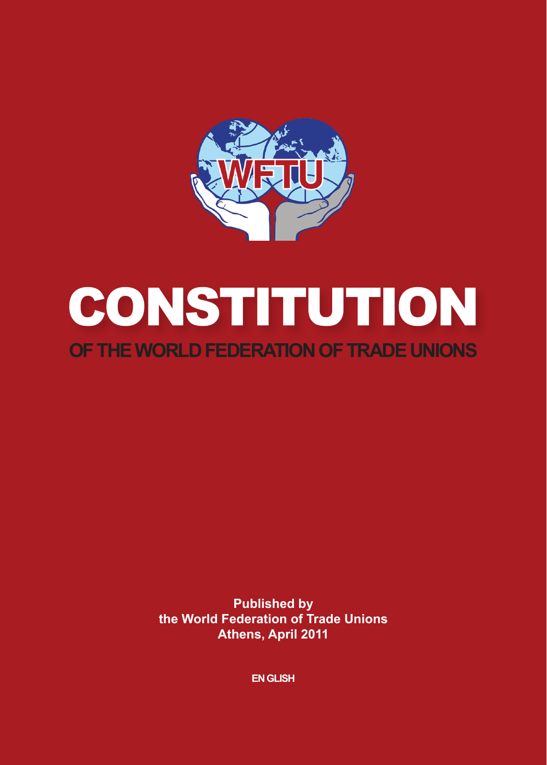

## **CONSTITUTION OF THE World Federation of Trade Unions**

**Published by the World Federation of Trade Unions Athens, April 2011**

**En GLISH**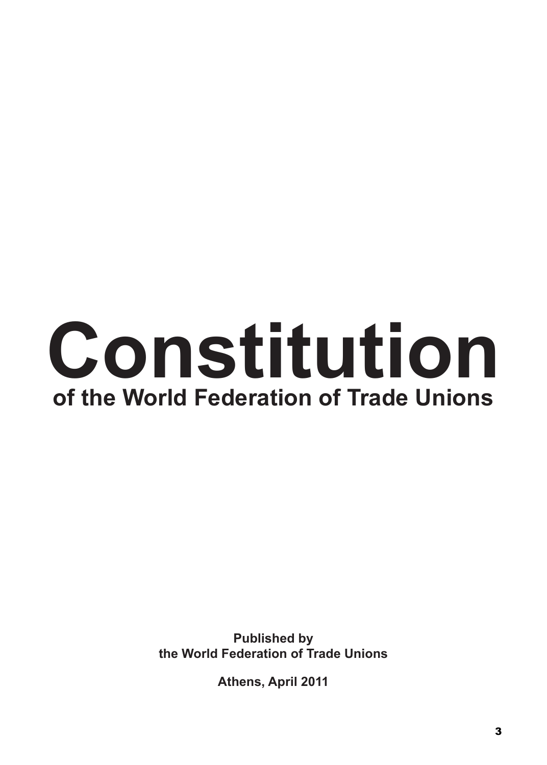# **Constitution of the World Federation of Trade Unions**

**Published by the World Federation of Trade Unions**

**Athens, April 2011**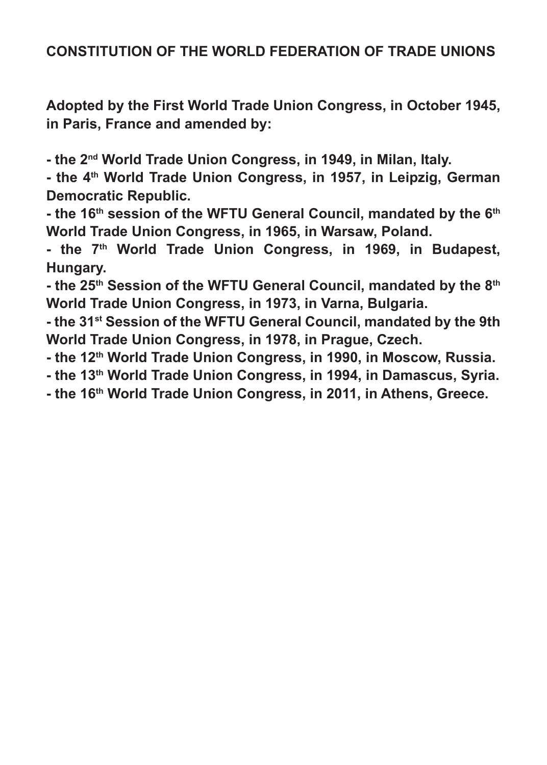#### **CONSTITUTION OF THE WORLD FEDERATION OF TRADE UNIONS**

**Adopted by the First World Trade Union Congress, in October 1945, in Paris, France and amended by:**

**- the 2nd World Trade Union Congress, in 1949, in Milan, Italy.**

**- the 4th World Trade Union Congress, in 1957, in Leipzig, German Democratic Republic.**

- the 16<sup>th</sup> session of the WFTU General Council, mandated by the 6<sup>th</sup> **World Trade Union Congress, in 1965, in Warsaw, Poland.**

- the 7<sup>th</sup> World Trade Union Congress, in 1969, in Budapest, **Hungary.**

**- the 25th Session of the WFTU General Council, mandated by the 8th World Trade Union Congress, in 1973, in Varna, Bulgaria.**

**- the 31st Session of the WFTU General Council, mandated by the 9th World Trade Union Congress, in 1978, in Prague, Czech.**

**- the 12th World Trade Union Congress, in 1990, in Moscow, Russia.**

**- the 13th World Trade Union Congress, in 1994, in Damascus, Syria.**

**- the 16th World Trade Union Congress, in 2011, in Athens, Greece.**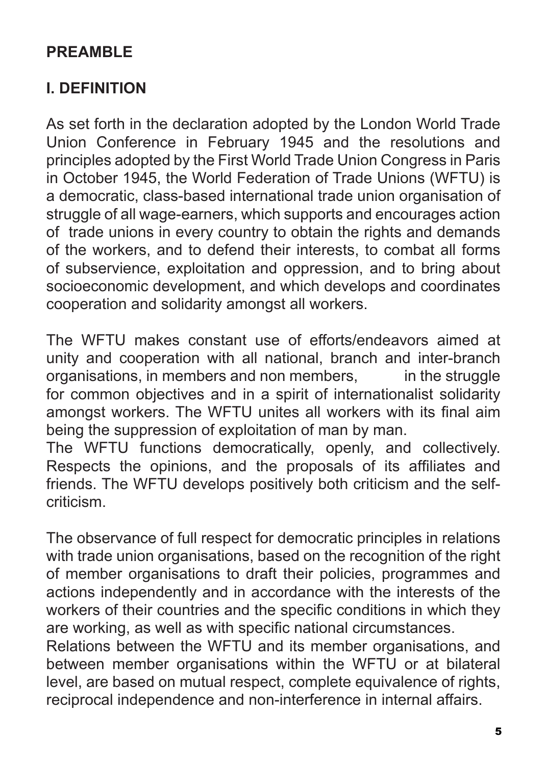## **PREAMBLE**

## **I. DEFINITION**

As set forth in the declaration adopted by the London World Trade Union Conference in February 1945 and the resolutions and principles adopted by the First World Trade Union Congress in Paris in October 1945, the World Federation of Trade Unions (WFTU) is a democratic, class-based international trade union organisation of struggle of all wage-earners, which supports and encourages action of trade unions in every country to obtain the rights and demands of the workers, and to defend their interests, to combat all forms of subservience, exploitation and oppression, and to bring about socioeconomic development, and which develops and coordinates cooperation and solidarity amongst all workers.

The WFTU makes constant use of efforts/endeavors aimed at unity and cooperation with all national, branch and inter-branch organisations, in members and non members, in the struggle for common objectives and in a spirit of internationalist solidarity amongst workers. The WFTU unites all workers with its final aim being the suppression of exploitation of man by man.

The WFTU functions democratically, openly, and collectively. Respects the opinions, and the proposals of its affiliates and friends. The WFTU develops positively both criticism and the selfcriticism.

The observance of full respect for democratic principles in relations with trade union organisations, based on the recognition of the right of member organisations to draft their policies, programmes and actions independently and in accordance with the interests of the workers of their countries and the specific conditions in which they are working, as well as with specific national circumstances.

Relations between the WFTU and its member organisations, and between member organisations within the WFTU or at bilateral level, are based on mutual respect, complete equivalence of rights, reciprocal independence and non-interference in internal affairs.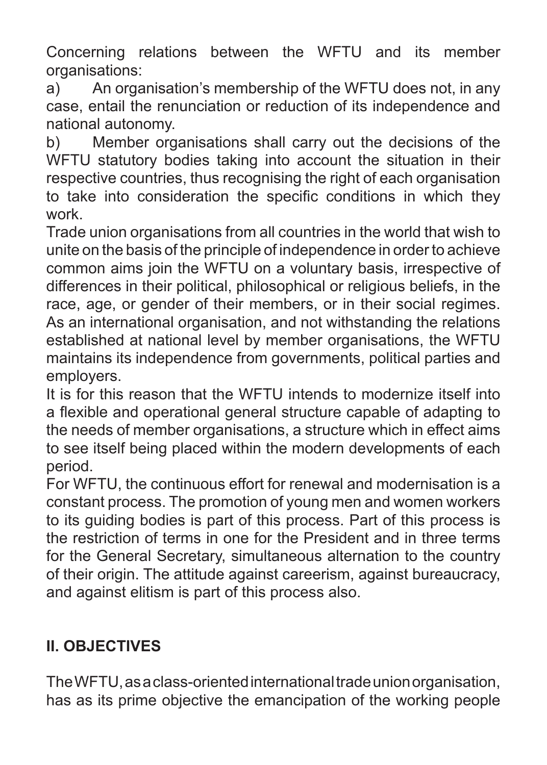Concerning relations between the WFTU and its member organisations:

a) An organisation's membership of the WFTU does not, in any case, entail the renunciation or reduction of its independence and national autonomy.

b) Member organisations shall carry out the decisions of the WFTU statutory bodies taking into account the situation in their respective countries, thus recognising the right of each organisation to take into consideration the specific conditions in which they work.

Trade union organisations from all countries in the world that wish to unite on the basis of the principle of independence in order to achieve common aims join the WFTU on a voluntary basis, irrespective of differences in their political, philosophical or religious beliefs, in the race, age, or gender of their members, or in their social regimes. As an international organisation, and not withstanding the relations established at national level by member organisations, the WFTU maintains its independence from governments, political parties and employers.

It is for this reason that the WFTU intends to modernize itself into a flexible and operational general structure capable of adapting to the needs of member organisations, a structure which in effect aims to see itself being placed within the modern developments of each period.

For WFTU, the continuous effort for renewal and modernisation is a constant process. The promotion of young men and women workers to its guiding bodies is part of this process. Part of this process is the restriction of terms in one for the President and in three terms for the General Secretary, simultaneous alternation to the country of their origin. The attitude against careerism, against bureaucracy, and against elitism is part of this process also.

## **II. OBJECTIVES**

The WFTU, as a class-oriented international trade union organisation, has as its prime objective the emancipation of the working people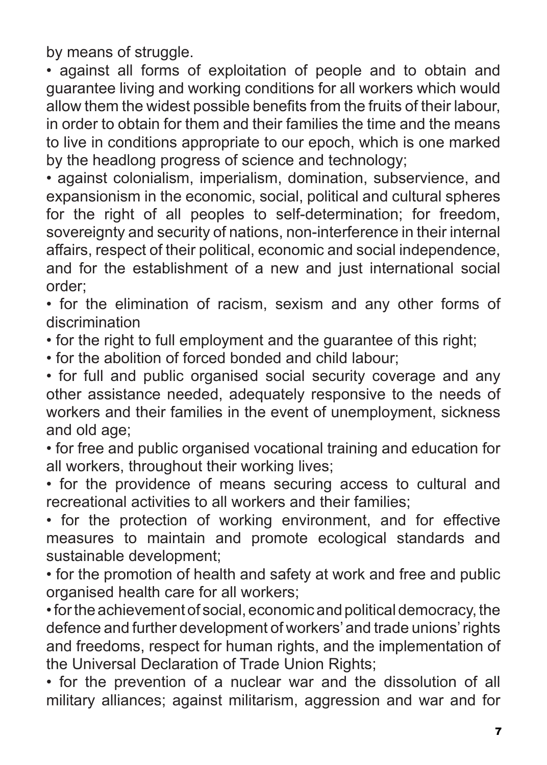by means of struggle.

• against all forms of exploitation of people and to obtain and guarantee living and working conditions for all workers which would allow them the widest possible benefits from the fruits of their labour, in order to obtain for them and their families the time and the means to live in conditions appropriate to our epoch, which is one marked by the headlong progress of science and technology;

• against colonialism, imperialism, domination, subservience, and expansionism in the economic, social, political and cultural spheres for the right of all peoples to self-determination; for freedom, sovereignty and security of nations, non-interference in their internal affairs, respect of their political, economic and social independence, and for the establishment of a new and just international social order;

• for the elimination of racism, sexism and any other forms of discrimination

• for the right to full employment and the guarantee of this right;

• for the abolition of forced bonded and child labour;

• for full and public organised social security coverage and any other assistance needed, adequately responsive to the needs of workers and their families in the event of unemployment, sickness and old age;

• for free and public organised vocational training and education for all workers, throughout their working lives;

• for the providence of means securing access to cultural and recreational activities to all workers and their families;

• for the protection of working environment, and for effective measures to maintain and promote ecological standards and sustainable development;

• for the promotion of health and safety at work and free and public organised health care for all workers;

• for the achievement of social, economic and political democracy, the defence and further development of workers' and trade unions' rights and freedoms, respect for human rights, and the implementation of the Universal Declaration of Trade Union Rights;

• for the prevention of a nuclear war and the dissolution of all military alliances; against militarism, aggression and war and for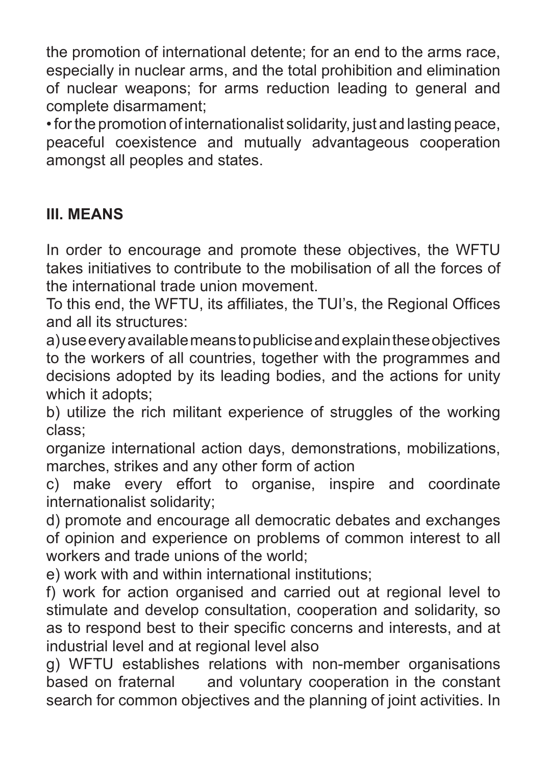the promotion of international detente; for an end to the arms race, especially in nuclear arms, and the total prohibition and elimination of nuclear weapons; for arms reduction leading to general and complete disarmament;

• for the promotion of internationalist solidarity, just and lasting peace, peaceful coexistence and mutually advantageous cooperation amongst all peoples and states.

## **III. MEANS**

In order to encourage and promote these objectives, the WFTU takes initiatives to contribute to the mobilisation of all the forces of the international trade union movement.

To this end, the WFTU, its affiliates, the TUI's, the Regional Offices and all its structures:

a) use every available means to publicise and explain these objectives to the workers of all countries, together with the programmes and decisions adopted by its leading bodies, and the actions for unity which it adopts;

b) utilize the rich militant experience of struggles of the working class;

organize international action days, demonstrations, mobilizations, marches, strikes and any other form of action

c) make every effort to organise, inspire and coordinate internationalist solidarity;

d) promote and encourage all democratic debates and exchanges of opinion and experience on problems of common interest to all workers and trade unions of the world;

e) work with and within international institutions;

f) work for action organised and carried out at regional level to stimulate and develop consultation, cooperation and solidarity, so as to respond best to their specific concerns and interests, and at industrial level and at regional level also

g) WFTU establishes relations with non-member organisations based on fraternal and voluntary cooperation in the constant search for common objectives and the planning of joint activities. In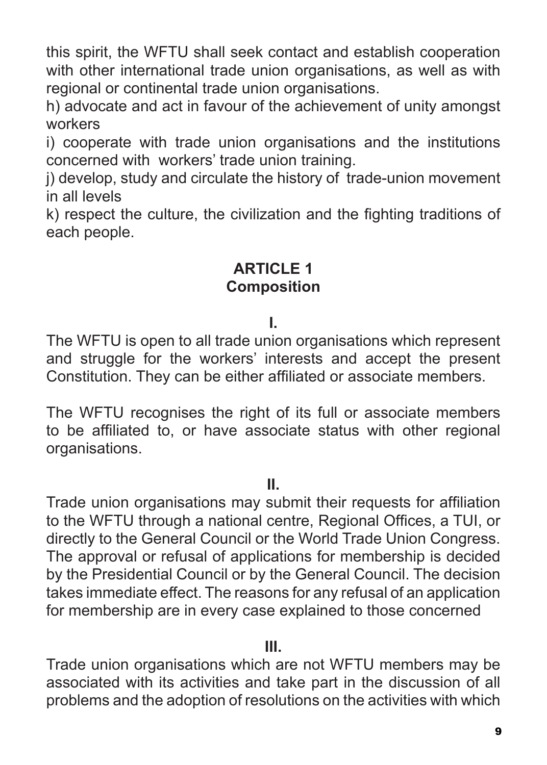this spirit, the WFTU shall seek contact and establish cooperation with other international trade union organisations, as well as with regional or continental trade union organisations.

h) advocate and act in favour of the achievement of unity amongst workers

i) cooperate with trade union organisations and the institutions concerned with workers' trade union training.

i) develop, study and circulate the history of trade-union movement in all levels

k) respect the culture, the civilization and the fighting traditions of each people.

## **ARTICLE 1 Composition**

#### **I.**

The WFTU is open to all trade union organisations which represent and struggle for the workers' interests and accept the present Constitution. They can be either affiliated or associate members.

The WFTU recognises the right of its full or associate members to be affiliated to, or have associate status with other regional organisations.

#### **II.**

Trade union organisations may submit their requests for affiliation to the WFTU through a national centre, Regional Offices, a TUI, or directly to the General Council or the World Trade Union Congress. The approval or refusal of applications for membership is decided by the Presidential Council or by the General Council. The decision takes immediate effect. The reasons for any refusal of an application for membership are in every case explained to those concerned

#### **III.**

Trade union organisations which are not WFTU members may be associated with its activities and take part in the discussion of all problems and the adoption of resolutions on the activities with which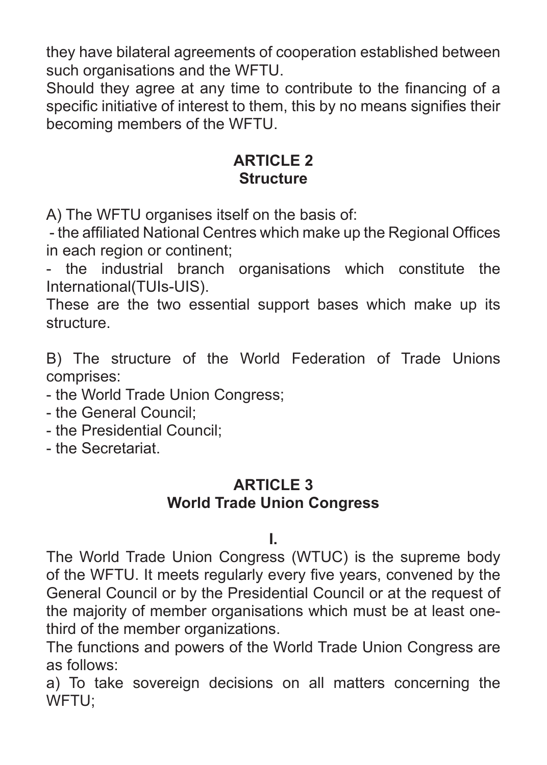they have bilateral agreements of cooperation established between such organisations and the WFTU.

Should they agree at any time to contribute to the financing of a specific initiative of interest to them, this by no means signifies their becoming members of the WFTU.

## **ARTICLE 2 Structure**

A) The WFTU organises itself on the basis of:

 - the affiliated National Centres which make up the Regional Offices in each region or continent;

- the industrial branch organisations which constitute the International(TUIs-UIS).

These are the two essential support bases which make up its structure.

B) The structure of the World Federation of Trade Unions comprises:

- the World Trade Union Congress;

- the General Council;

- the Presidential Council;

- the Secretariat.

## **ARTICLE 3**

## **World Trade Union Congress**

#### **I.**

The World Trade Union Congress (WTUC) is the supreme body of the WFTU. It meets regularly every five years, convened by the General Council or by the Presidential Council or at the request of the majority of member organisations which must be at least onethird of the member organizations.

The functions and powers of the World Trade Union Congress are as follows:

a) To take sovereign decisions on all matters concerning the WFTU;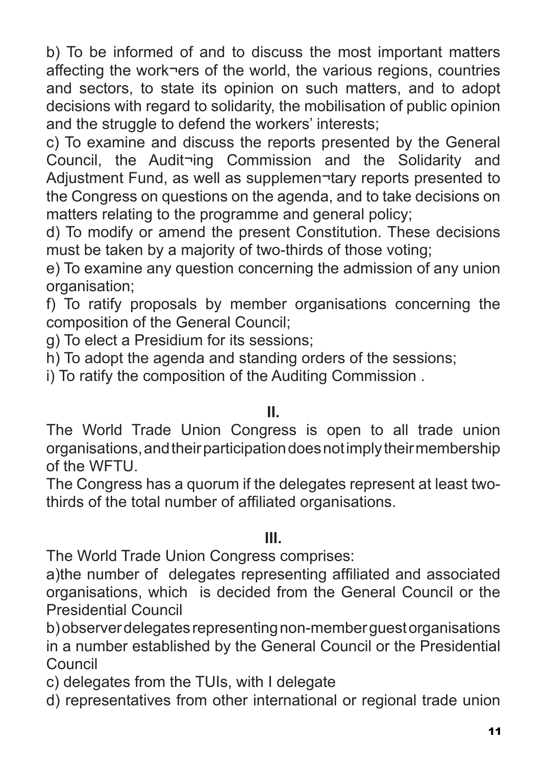b) To be informed of and to discuss the most important matters affecting the work¬ers of the world, the various regions, countries and sectors, to state its opinion on such matters, and to adopt decisions with regard to solidarity, the mobilisation of public opinion and the struggle to defend the workers' interests:

c) To examine and discuss the reports presented by the General Council, the Audit¬ing Commission and the Solidarity and Adjustment Fund, as well as supplemen¬tary reports presented to the Congress on questions on the agenda, and to take decisions on matters relating to the programme and general policy;

d) To modify or amend the present Constitution. These decisions must be taken by a majority of two-thirds of those voting;

e) To examine any question concerning the admission of any union organisation;

f) To ratify proposals by member organisations concerning the composition of the General Council;

g) To elect a Presidium for its sessions;

h) To adopt the agenda and standing orders of the sessions;

i) To ratify the composition of the Auditing Commission .

## **II.**

The World Trade Union Congress is open to all trade union organisations, and their participation does not imply their membership of the WFTU.

The Congress has a quorum if the delegates represent at least twothirds of the total number of affiliated organisations.

#### **III.**

The World Trade Union Congress comprises:

a)the number of delegates representing affiliated and associated organisations, which is decided from the General Council or the Presidential Council

b) observer delegates representing non-member guest organisations in a number established by the General Council or the Presidential Council

c) delegates from the TUIs, with I delegate

d) representatives from other international or regional trade union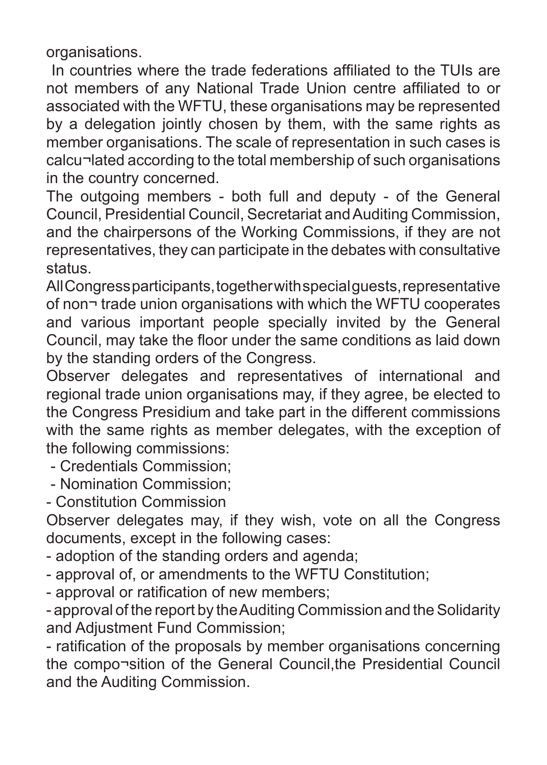organisations.

 In countries where the trade federations affiliated to the TUIs are not members of any National Trade Union centre affiliated to or associated with the WFTU, these organisations may be represented by a delegation jointly chosen by them, with the same rights as member organisations. The scale of representation in such cases is calcu¬lated according to the total membership of such organisations in the country concerned.

The outgoing members - both full and deputy - of the General Council, Presidential Council, Secretariat and Auditing Commission, and the chairpersons of the Working Commissions, if they are not representatives, they can participate in the debates with consultative status.

All Congress participants, together with special guests, representative of non¬ trade union organisations with which the WFTU cooperates and various important people specially invited by the General Council, may take the floor under the same conditions as laid down by the standing orders of the Congress.

Observer delegates and representatives of international and regional trade union organisations may, if they agree, be elected to the Congress Presidium and take part in the different commissions with the same rights as member delegates, with the exception of the following commissions:

- Credentials Commission;

- Nomination Commission;

- Constitution Commission

Observer delegates may, if they wish, vote on all the Congress documents, except in the following cases:

- adoption of the standing orders and agenda;

- approval of, or amendments to the WFTU Constitution;

- approval or ratification of new members;

- approval of the report by the Auditing Commission and the Solidarity and Adjustment Fund Commission;

- ratification of the proposals by member organisations concerning the compo¬sition of the General Council,the Presidential Council and the Auditing Commission.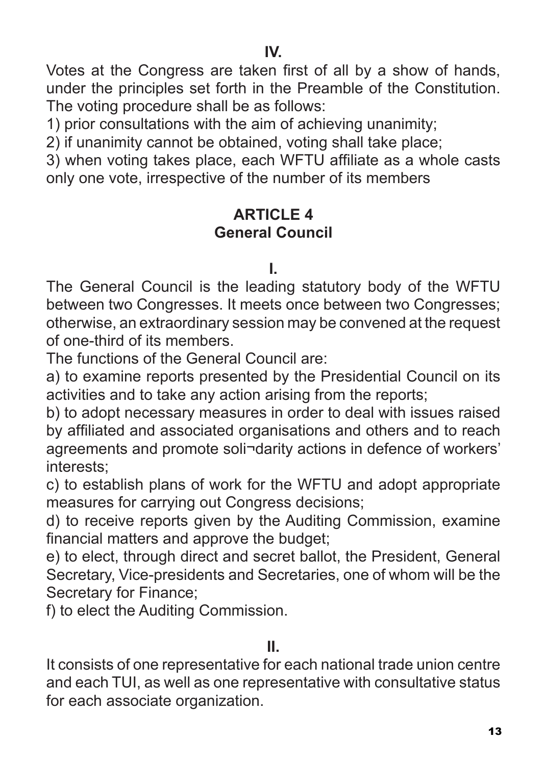**IV.**

Votes at the Congress are taken first of all by a show of hands, under the principles set forth in the Preamble of the Constitution. The voting procedure shall be as follows:

1) prior consultations with the aim of achieving unanimity;

2) if unanimity cannot be obtained, voting shall take place;

3) when voting takes place, each WFTU affiliate as a whole casts only one vote, irrespective of the number of its members

## **ARTICLE 4 General Council**

**I.**

The General Council is the leading statutory body of the WFTU between two Congresses. It meets once between two Congresses; otherwise, an extraordinary session may be convened at the request of one-third of its members.

The functions of the General Council are:

a) to examine reports presented by the Presidential Council on its activities and to take any action arising from the reports;

b) to adopt necessary measures in order to deal with issues raised by affiliated and associated organisations and others and to reach agreements and promote soli¬darity actions in defence of workers' interests;

c) to establish plans of work for the WFTU and adopt appropriate measures for carrying out Congress decisions;

d) to receive reports given by the Auditing Commission, examine financial matters and approve the budget;

e) to elect, through direct and secret ballot, the President, General Secretary, Vice-presidents and Secretaries, one of whom will be the Secretary for Finance;

f) to elect the Auditing Commission.

#### **II.**

It consists of one representative for each national trade union centre and each TUI, as well as one representative with consultative status for each associate organization.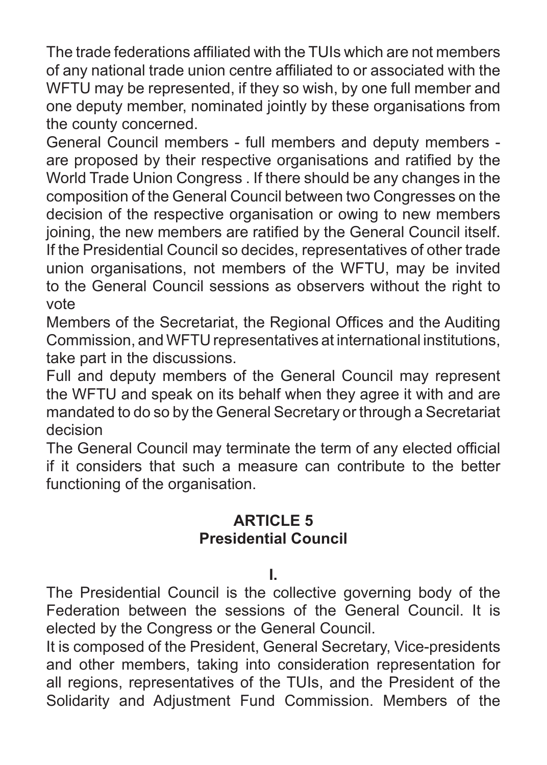The trade federations affiliated with the TUIs which are not members of any national trade union centre affiliated to or associated with the WFTU may be represented, if they so wish, by one full member and one deputy member, nominated jointly by these organisations from the county concerned.

General Council members - full members and deputy members are proposed by their respective organisations and ratified by the World Trade Union Congress . If there should be any changes in the composition of the General Council between two Congresses on the decision of the respective organisation or owing to new members joining, the new members are ratified by the General Council itself. If the Presidential Council so decides, representatives of other trade union organisations, not members of the WFTU, may be invited to the General Council sessions as observers without the right to vote

Members of the Secretariat, the Regional Offices and the Auditing Commission, and WFTU representatives at international institutions, take part in the discussions.

Full and deputy members of the General Council may represent the WFTU and speak on its behalf when they agree it with and are mandated to do so by the General Secretary or through a Secretariat decision

The General Council may terminate the term of any elected official if it considers that such a measure can contribute to the better functioning of the organisation.

## **ARTICLE 5 Presidential Council**

**I.** 

The Presidential Council is the collective governing body of the Federation between the sessions of the General Council. It is elected by the Congress or the General Council.

It is composed of the President, General Secretary, Vice-presidents and other members, taking into consideration representation for all regions, representatives of the TUIs, and the President of the Solidarity and Adjustment Fund Commission. Members of the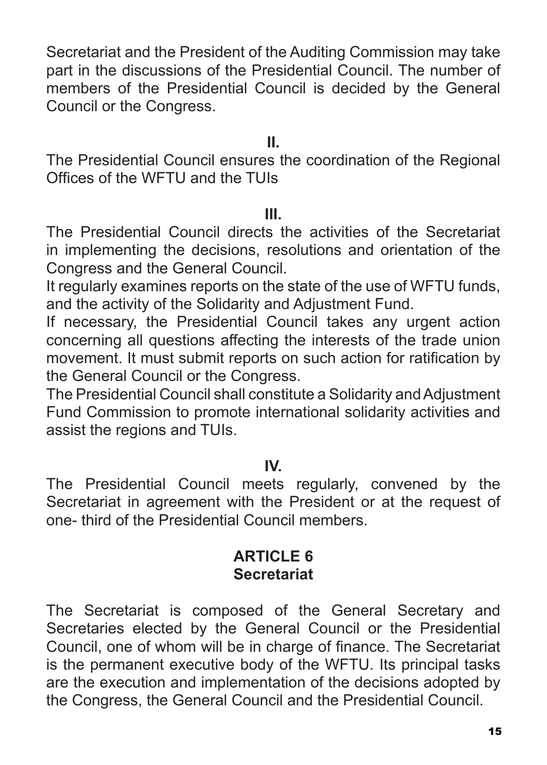Secretariat and the President of the Auditing Commission may take part in the discussions of the Presidential Council. The number of members of the Presidential Council is decided by the General Council or the Congress.

#### **II.**

The Presidential Council ensures the coordination of the Regional Offices of the WFTU and the TUIs

#### **III.**

The Presidential Council directs the activities of the Secretariat in implementing the decisions, resolutions and orientation of the Congress and the General Council.

It regularly examines reports on the state of the use of WFTU funds, and the activity of the Solidarity and Adjustment Fund.

If necessary, the Presidential Council takes any urgent action concerning all questions affecting the interests of the trade union movement. It must submit reports on such action for ratification by the General Council or the Congress.

The Presidential Council shall constitute a Solidarity and Adjustment Fund Commission to promote international solidarity activities and assist the regions and TUIs.

#### **IV.**

The Presidential Council meets regularly, convened by the Secretariat in agreement with the President or at the request of one- third of the Presidential Council members.

#### **ARTICLE 6 Secretariat**

The Secretariat is composed of the General Secretary and Secretaries elected by the General Council or the Presidential Council, one of whom will be in charge of finance. The Secretariat is the permanent executive body of the WFTU. Its principal tasks are the execution and implementation of the decisions adopted by the Congress, the General Council and the Presidential Council.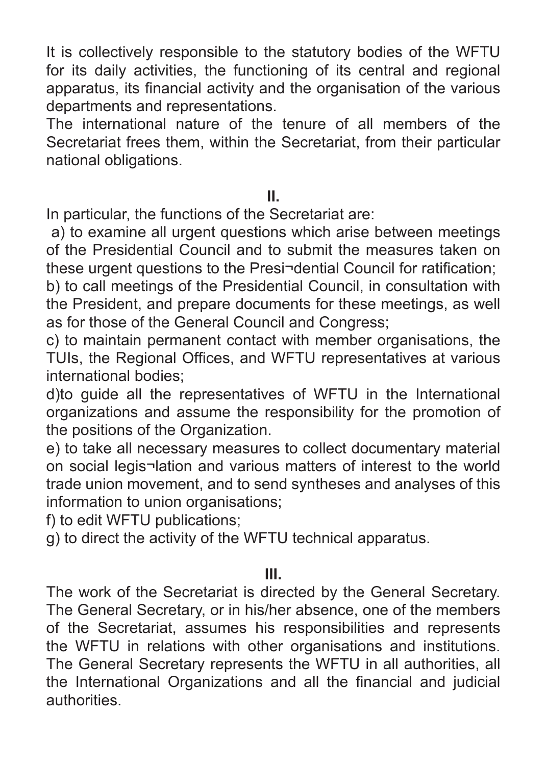It is collectively responsible to the statutory bodies of the WFTU for its daily activities, the functioning of its central and regional apparatus, its financial activity and the organisation of the various departments and representations.

The international nature of the tenure of all members of the Secretariat frees them, within the Secretariat, from their particular national obligations.

## **II.**

In particular, the functions of the Secretariat are:

a) to examine all urgent questions which arise between meetings of the Presidential Council and to submit the measures taken on these urgent questions to the Presi¬dential Council for ratification;

b) to call meetings of the Presidential Council, in consultation with the President, and prepare documents for these meetings, as well as for those of the General Council and Congress;

c) to maintain permanent contact with member organisations, the TUIs, the Regional Offices, and WFTU representatives at various international bodies;

d)to guide all the representatives of WFTU in the International organizations and assume the responsibility for the promotion of the positions of the Organization.

e) to take all necessary measures to collect documentary material on social legis¬lation and various matters of interest to the world trade union movement, and to send syntheses and analyses of this information to union organisations;

f) to edit WFTU publications;

g) to direct the activity of the WFTU technical apparatus.

#### **III.**

The work of the Secretariat is directed by the General Secretary. The General Secretary, or in his/her absence, one of the members of the Secretariat, assumes his responsibilities and represents the WFTU in relations with other organisations and institutions. The General Secretary represents the WFTU in all authorities, all the International Organizations and all the financial and judicial authorities.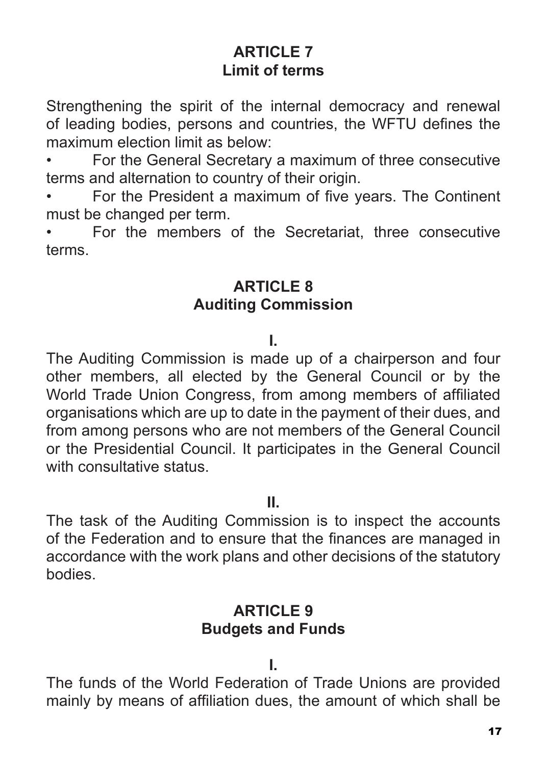## **ARTICLE 7 Limit of terms**

Strengthening the spirit of the internal democracy and renewal of leading bodies, persons and countries, the WFTU defines the maximum election limit as below:

• For the General Secretary a maximum of three consecutive terms and alternation to country of their origin.

• For the President a maximum of five years. The Continent must be changed per term.

• For the members of the Secretariat, three consecutive terms.

## **ARTICLE 8 Auditing Commission**

#### **I.**

The Auditing Commission is made up of a chairperson and four other members, all elected by the General Council or by the World Trade Union Congress, from among members of affiliated organisations which are up to date in the payment of their dues, and from among persons who are not members of the General Council or the Presidential Council. It participates in the General Council with consultative status.

**II.**

The task of the Auditing Commission is to inspect the accounts of the Federation and to ensure that the finances are managed in accordance with the work plans and other decisions of the statutory bodies.

## **ARTICLE 9 Budgets and Funds**

**I.**

The funds of the World Federation of Trade Unions are provided mainly by means of affiliation dues, the amount of which shall be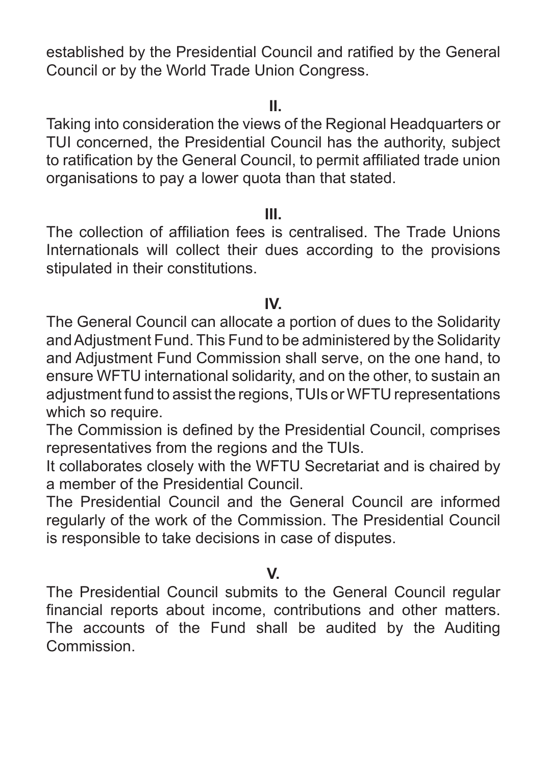established by the Presidential Council and ratified by the General Council or by the World Trade Union Congress.

#### **II.**

Taking into consideration the views of the Regional Headquarters or TUI concerned, the Presidential Council has the authority, subject to ratification by the General Council, to permit affiliated trade union organisations to pay a lower quota than that stated.

#### **III.**

The collection of affiliation fees is centralised. The Trade Unions Internationals will collect their dues according to the provisions stipulated in their constitutions.

#### **IV.**

The General Council can allocate a portion of dues to the Solidarity and Adjustment Fund. This Fund to be administered by the Solidarity and Adjustment Fund Commission shall serve, on the one hand, to ensure WFTU international solidarity, and on the other, to sustain an adjustment fund to assist the regions, TUIs or WFTU representations which so require.

The Commission is defined by the Presidential Council, comprises representatives from the regions and the TUIs.

It collaborates closely with the WFTU Secretariat and is chaired by a member of the Presidential Council.

The Presidential Council and the General Council are informed regularly of the work of the Commission. The Presidential Council is responsible to take decisions in case of disputes.

## **V.**

The Presidential Council submits to the General Council regular financial reports about income, contributions and other matters. The accounts of the Fund shall be audited by the Auditing **Commission**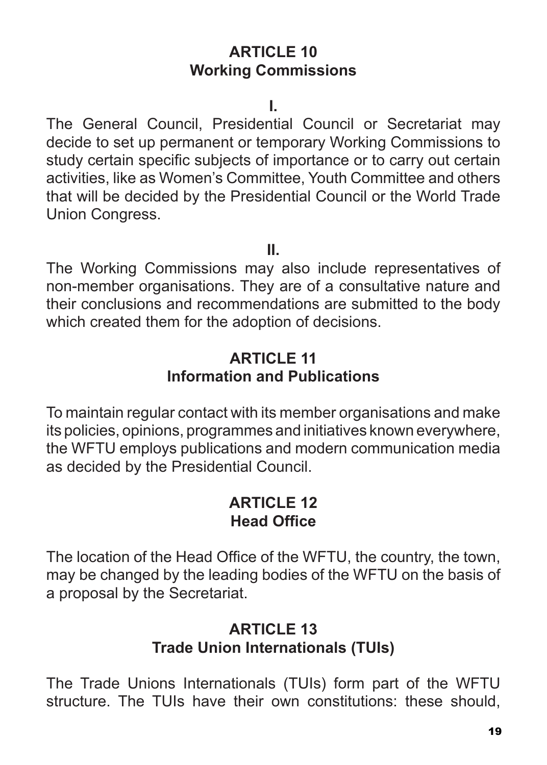## **ARTICLE 10 Working Commissions**

**I.**

The General Council, Presidential Council or Secretariat may decide to set up permanent or temporary Working Commissions to study certain specific subjects of importance or to carry out certain activities, like as Women's Committee, Youth Committee and others that will be decided by the Presidential Council or the World Trade Union Congress.

**II.**

The Working Commissions may also include representatives of non-member organisations. They are of a consultative nature and their conclusions and recommendations are submitted to the body which created them for the adoption of decisions.

## **ARTICLE 11 Information and Publications**

To maintain regular contact with its member organisations and make its policies, opinions, programmes and initiatives known everywhere, the WFTU employs publications and modern communication media as decided by the Presidential Council.

## **ARTICLE 12 Head Office**

The location of the Head Office of the WFTU, the country, the town, may be changed by the leading bodies of the WFTU on the basis of a proposal by the Secretariat.

## **ARTICLE 13 Trade Union Internationals (TUIs)**

The Trade Unions Internationals (TUIs) form part of the WFTU structure. The TUIs have their own constitutions: these should,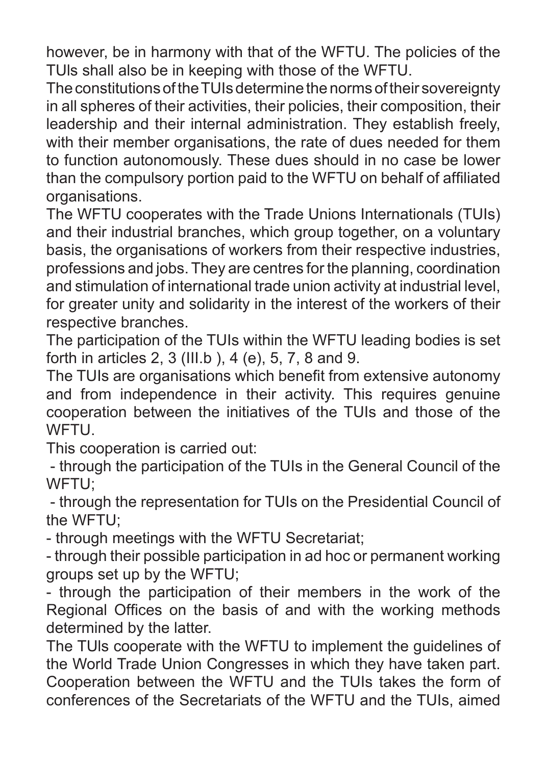however, be in harmony with that of the WFTU. The policies of the TUls shall also be in keeping with those of the WFTU.

The constitutions of the TUIs determine the norms of their sovereignty in all spheres of their activities, their policies, their composition, their leadership and their internal administration. They establish freely, with their member organisations, the rate of dues needed for them to function autonomously. These dues should in no case be lower than the compulsory portion paid to the WFTU on behalf of affiliated organisations.

The WFTU cooperates with the Trade Unions Internationals (TUIs) and their industrial branches, which group together, on a voluntary basis, the organisations of workers from their respective industries, professions and jobs. They are centres for the planning, coordination and stimulation of international trade union activity at industrial level, for greater unity and solidarity in the interest of the workers of their respective branches.

The participation of the TUIs within the WFTU leading bodies is set forth in articles 2, 3 (III.b ), 4 (e), 5, 7, 8 and 9.

The TUIs are organisations which benefit from extensive autonomy and from independence in their activity. This requires genuine cooperation between the initiatives of the TUIs and those of the **WFTU** 

This cooperation is carried out:

 - through the participation of the TUIs in the General Council of the WFTU<sup>.</sup>

 - through the representation for TUIs on the Presidential Council of the WFTU;

- through meetings with the WFTU Secretariat;

- through their possible participation in ad hoc or permanent working groups set up by the WFTU;

- through the participation of their members in the work of the Regional Offices on the basis of and with the working methods determined by the latter.

The TUls cooperate with the WFTU to implement the guidelines of the World Trade Union Congresses in which they have taken part. Cooperation between the WFTU and the TUIs takes the form of conferences of the Secretariats of the WFTU and the TUIs, aimed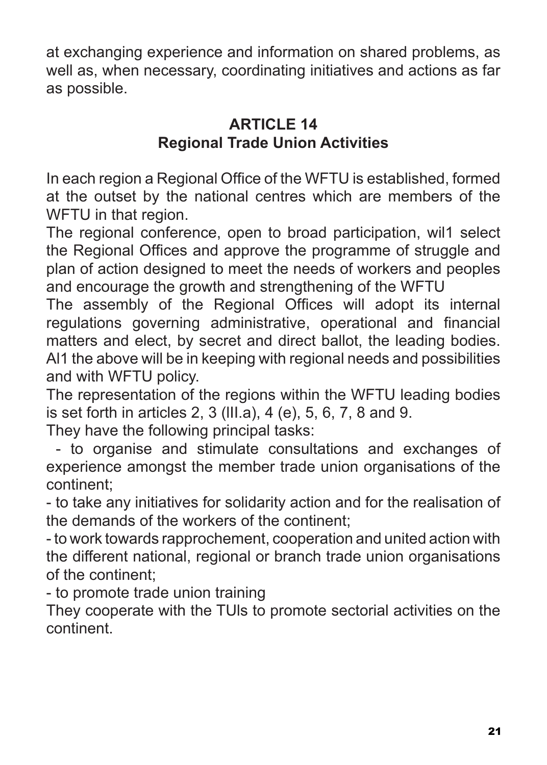at exchanging experience and information on shared problems, as well as, when necessary, coordinating initiatives and actions as far as possible.

## **ARTICLE 14 Regional Trade Union Activities**

In each region a Regional Office of the WFTU is established, formed at the outset by the national centres which are members of the WFTU in that region.

The regional conference, open to broad participation, wil1 select the Regional Offices and approve the programme of struggle and plan of action designed to meet the needs of workers and peoples and encourage the growth and strengthening of the WFTU

The assembly of the Regional Offices will adopt its internal regulations governing administrative, operational and financial matters and elect, by secret and direct ballot, the leading bodies. Al1 the above will be in keeping with regional needs and possibilities and with WFTU policy.

The representation of the regions within the WFTU leading bodies is set forth in articles 2, 3 (lII.a), 4 (e), 5, 6, 7, 8 and 9.

They have the following principal tasks:

 - to organise and stimulate consultations and exchanges of experience amongst the member trade union organisations of the continent;

- to take any initiatives for solidarity action and for the realisation of the demands of the workers of the continent;

- to work towards rapprochement, cooperation and united action with the different national, regional or branch trade union organisations of the continent;

- to promote trade union training

They cooperate with the TUls to promote sectorial activities on the continent.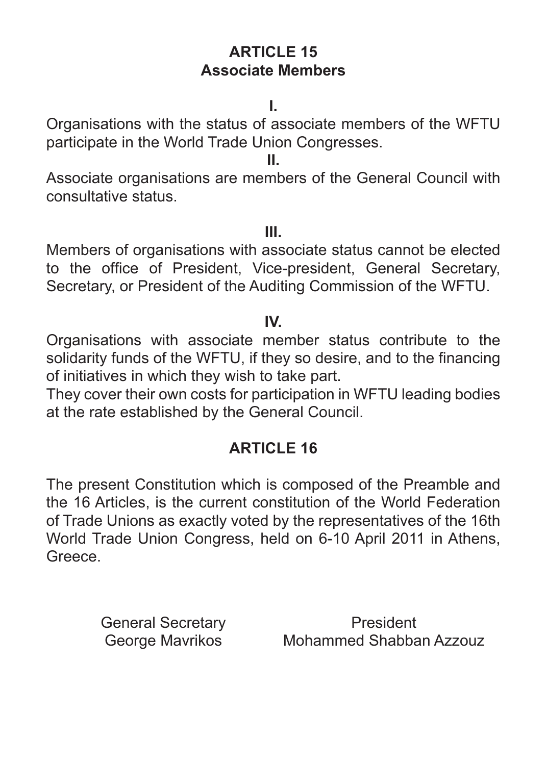## **ARTICLE 15 Associate Members**

**I.**

Organisations with the status of associate members of the WFTU participate in the World Trade Union Congresses.

**II.**

Associate organisations are members of the General Council with consultative status.

**III.**

Members of organisations with associate status cannot be elected to the office of President, Vice-president, General Secretary, Secretary, or President of the Auditing Commission of the WFTU.

**IV.**

Organisations with associate member status contribute to the solidarity funds of the WFTU, if they so desire, and to the financing of initiatives in which they wish to take part.

They cover their own costs for participation in WFTU leading bodies at the rate established by the General Council.

## **ARTICLE 16**

The present Constitution which is composed of the Preamble and the 16 Articles, is the current constitution of the World Federation of Trade Unions as exactly voted by the representatives of the 16th World Trade Union Congress, held on 6-10 April 2011 in Athens, Greece.

George Mavrikos

General Secretary **Exercise Secretary** President Mohammed Shabban Azzouz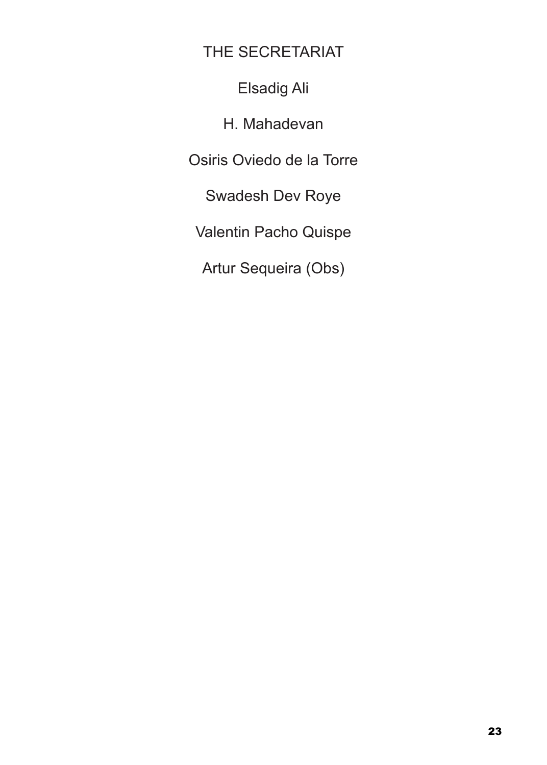THE SECRETARIAT

Elsadig Ali

H. Mahadevan

Osiris Oviedo de la Torre

Swadesh Dev Roye

Valentin Pacho Quispe

Artur Sequeira (Obs)